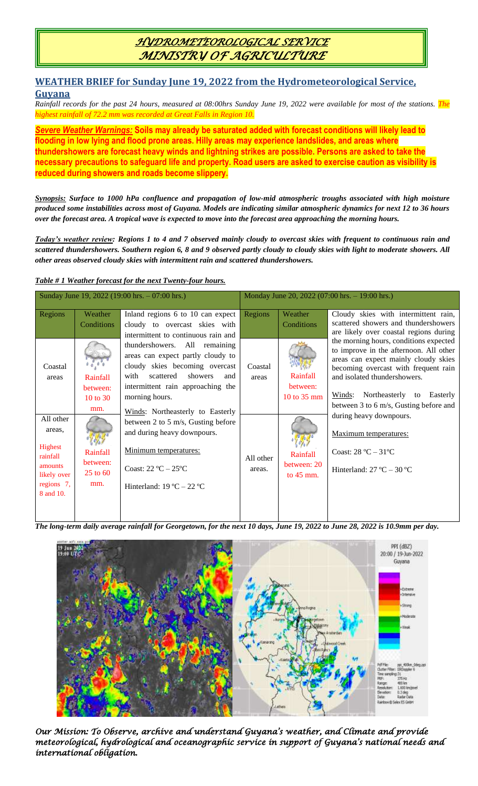## *HYDROMETEOROLOGICAL SERVICE MINISTRY OF AGRICULTURE*

## **WEATHER BRIEF for Sunday June 19, 2022 from the Hydrometeorological Service, Guyana**

*Rainfall records for the past 24 hours, measured at 08:00hrs Sunday June 19, 2022 were available for most of the stations. The highest rainfall of 72.2 mm was recorded at Great Falls in Region 10.*

*Severe Weather Warnings:* **Soils may already be saturated added with forecast conditions will likely lead to flooding in low lying and flood prone areas. Hilly areas may experience landslides, and areas where thundershowers are forecast heavy winds and lightning strikes are possible. Persons are asked to take the necessary precautions to safeguard life and property. Road users are asked to exercise caution as visibility is reduced during showers and roads become slippery.**

*Synopsis: Surface to 1000 hPa confluence and propagation of low-mid atmospheric troughs associated with high moisture produced some instabilities across most of Guyana. Models are indicating similar atmospheric dynamics for next 12 to 36 hours over the forecast area. A tropical wave is expected to move into the forecast area approaching the morning hours.*

*Today's weather review: Regions 1 to 4 and 7 observed mainly cloudy to overcast skies with frequent to continuous rain and scattered thundershowers. Southern region 6, 8 and 9 observed partly cloudy to cloudy skies with light to moderate showers. All other areas observed cloudy skies with intermittent rain and scattered thundershowers.*

### *Table # 1 Weather forecast for the next Twenty-four hours.*

| Sunday June 19, 2022 (19:00 hrs. $-07:00$ hrs.) |            |                                     | Monday June 20, 2022 (07:00 hrs. $-19:00$ hrs.) |                       |                                                                                  |
|-------------------------------------------------|------------|-------------------------------------|-------------------------------------------------|-----------------------|----------------------------------------------------------------------------------|
| Regions                                         | Weather    | Inland regions 6 to 10 can expect   | <b>Regions</b>                                  | Weather               | Cloudy skies with intermittent rain,                                             |
|                                                 | Conditions | cloudy to overcast skies with       |                                                 | Conditions            | scattered showers and thundershowers                                             |
|                                                 |            | intermittent to continuous rain and |                                                 |                       | are likely over coastal regions during                                           |
|                                                 |            | thundershowers. All remaining       |                                                 |                       | the morning hours, conditions expected<br>to improve in the afternoon. All other |
|                                                 |            | areas can expect partly cloudy to   |                                                 |                       | areas can expect mainly cloudy skies                                             |
| Coastal                                         |            | cloudy skies becoming overcast      | Coastal                                         |                       | becoming overcast with frequent rain                                             |
| areas                                           | Rainfall   | with<br>scattered<br>showers<br>and | areas                                           | Rainfall              | and isolated thundershowers.                                                     |
|                                                 | between:   | intermittent rain approaching the   |                                                 | between:              |                                                                                  |
|                                                 | 10 to 30   | morning hours.                      |                                                 | 10 to $35 \text{ mm}$ | Northeasterly to Easterly<br>Winds:                                              |
|                                                 | mm.        | Winds: Northeasterly to Easterly    |                                                 |                       | between 3 to 6 m/s, Gusting before and                                           |
| All other                                       |            | between 2 to 5 m/s, Gusting before  |                                                 |                       | during heavy downpours.                                                          |
| areas.                                          |            | and during heavy downpours.         |                                                 |                       |                                                                                  |
|                                                 |            |                                     |                                                 |                       | Maximum temperatures:                                                            |
| Highest                                         | Rainfall   | Minimum temperatures:               |                                                 |                       | Coast: $28 °C - 31 °C$                                                           |
| rainfall                                        | between:   |                                     | All other                                       | Rainfall              |                                                                                  |
| amounts                                         | $25$ to 60 | Coast: $22^{\circ}C - 25^{\circ}C$  | areas.                                          | between: 20           | Hinterland: $27^{\circ}$ C – $30^{\circ}$ C                                      |
| likely over<br>regions 7,                       | mm.        |                                     |                                                 | to $45 \text{ mm}$ .  |                                                                                  |
| 8 and 10.                                       |            | Hinterland: $19^{\circ}$ C – 22 °C  |                                                 |                       |                                                                                  |
|                                                 |            |                                     |                                                 |                       |                                                                                  |
|                                                 |            |                                     |                                                 |                       |                                                                                  |

*The long-term daily average rainfall for Georgetown, for the next 10 days, June 19, 2022 to June 28, 2022 is 10.9mm per day.*

 $\overline{\phantom{a}}$ 



*Our Mission: To Observe, archive and understand Guyana's weather, and Climate and provide meteorological, hydrological and oceanographic service in support of Guyana's national needs and international obligation.*